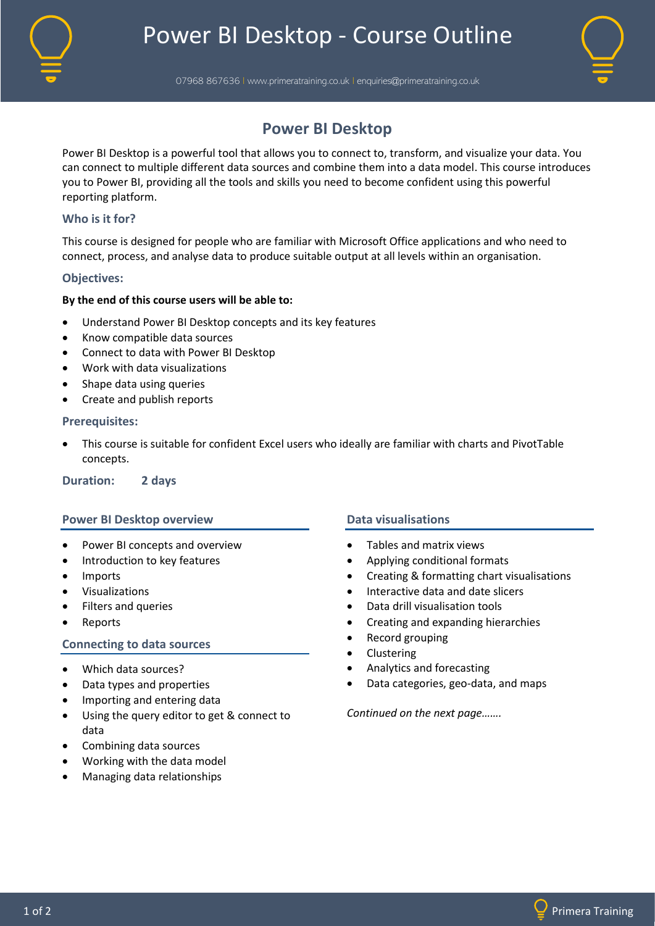

07968 867636 I www.primeratraining.co.uk I enquiries@primeratraining.co.uk



# **Power BI Desktop**

Power BI Desktop is a powerful tool that allows you to connect to, transform, and visualize your data. You can connect to multiple different data sources and combine them into a data model. This course introduces you to Power BI, providing all the tools and skills you need to become confident using this powerful reporting platform.

# **Who is it for?**

This course is designed for people who are familiar with Microsoft Office applications and who need to connect, process, and analyse data to produce suitable output at all levels within an organisation.

### **Objectives:**

### **By the end of this course users will be able to:**

- Understand Power BI Desktop concepts and its key features
- Know compatible data sources
- Connect to data with Power BI Desktop
- Work with data visualizations
- Shape data using queries
- Create and publish reports

#### **Prerequisites:**

• This course is suitable for confident Excel users who ideally are familiar with charts and PivotTable concepts.

**Duration: 2 days**

### **Power BI Desktop overview**

- Power BI concepts and overview
- Introduction to key features
- Imports
- Visualizations
- Filters and queries
- **Reports**

### **Connecting to data sources**

- Which data sources?
- Data types and properties
- Importing and entering data
- Using the query editor to get & connect to data
- Combining data sources
- Working with the data model
- Managing data relationships

### **Data visualisations**

- Tables and matrix views
- Applying conditional formats
- Creating & formatting chart visualisations
- Interactive data and date slicers
- Data drill visualisation tools
- Creating and expanding hierarchies
- Record grouping
- Clustering
- Analytics and forecasting
- Data categories, geo-data, and maps

*Continued on the next page…….*